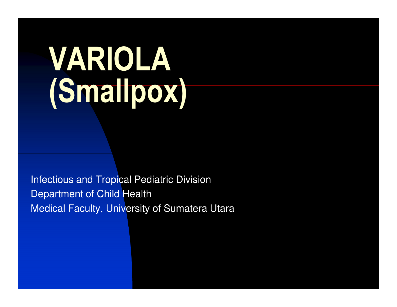## VARIOLA(Smallpox)

Infectious and Tropical Pediatric DivisionDepartment of Child HealthMedical Faculty, University of Sumatera Utara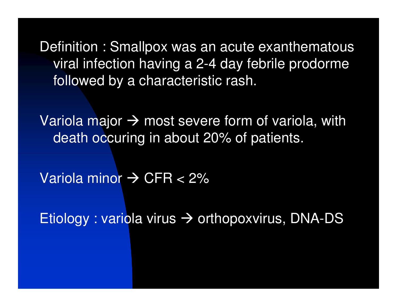Definition : Smallpox was an acute exanthematous viral infection having a 2-4 day febrile prodorme followed by a characteristic rash.

Variola major  $\rightarrow$  most severe form of variola, with  $\sim$  death occuring in about 20% of patients death occuring in about 20% of patients.

Variola minor  $\rightarrow$  CFR  $<$  2%

Etiology : variola virus → orthopoxvirus, DNA-DS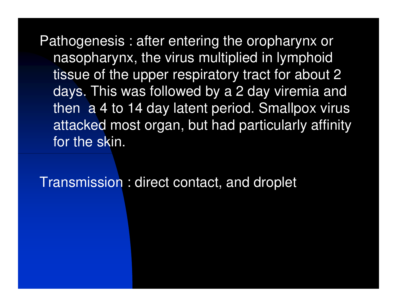Pathogenesis : after entering the oropharynx or nasopharynx, the virus multiplied in lymphoid tissue of the upper respiratory tract for about 2 days. This was followed by a 2 day viremia and then a 4 to 14 day latent period. Smallpox virus attacked most organ, but had particularly affinity for the skin.

Transmission : direct contact, and droplet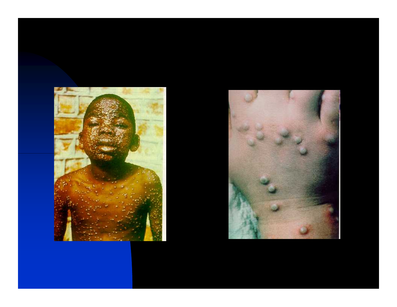

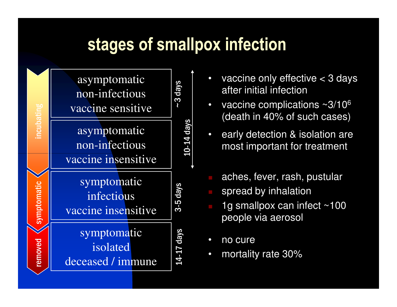## stages of smallpox infection



- • vaccine only effective < 3 days after initial infection
- vaccine complications ~3/106•(death in 40% of such cases)
- $\bullet$  early detection & isolation are most important for treatment
- aches, fever, rash, pustular
- spread by inhalation
- 1g smallpox can infect ~100 people via aerosol
- 
-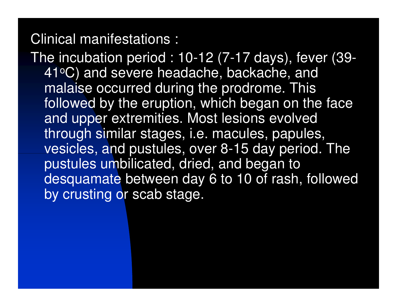Clinical manifestations :

The incubation period : 10-12 (7-17 days), fever (39-41°C) and severe headache, backache, and malaise occurred during the prodrome. This followed by the eruption, which began on the face and upper extremities. Most lesions evolved through similar stages, i.e. macules, papules, vesicles, and pustules, over 8-15 day period. The pustules umbilicated, dried, and began to desquamate between day 6 to 10 of rash, followed by crusting or scab stage.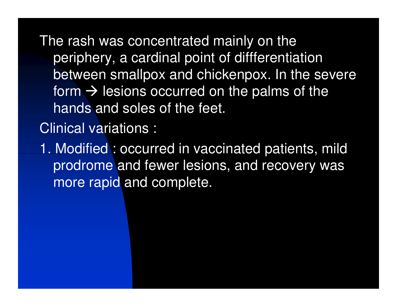The rash was concentrated mainly on the periphery, a cardinal point of diffferentiation between smallpox and chickenpox. In the severe form  $\rightarrow$  lesions occurred on the palms of the<br>hands and soles of the feet hands and soles of the feet.

Clinical variations :

1. Modified : occurred in vaccinated patients, mild prodrome and fewer lesions, and recovery was more rapid and complete.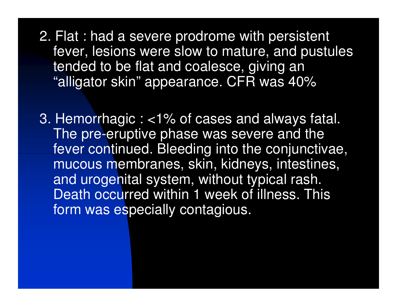2. Flat : had a severe prodrome with persistent fever, lesions were slow to mature, and pustules tended to be flat and coalesce, giving an "alligator skin" appearance. CFR was 40%

3. Hemorrhagic : <1% of cases and always fatal. The pre-eruptive phase was severe and the fever continued. Bleeding into the conjunctivae, mucous membranes, skin, kidneys, intestines, and urogenital system, without typical rash. Death occurred within 1 week of illness. This form was especially contagious.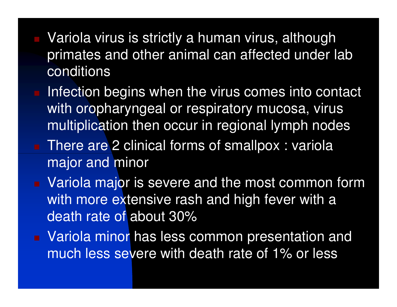- Variola virus is strictly a human virus, although primates and other animal can affected under lab conditions
- Infection begins when the virus comes into contact with oropharyngeal or respiratory mucosa, virus multiplication then occur in regional lymph nodes
- There are 2 clinical forms of smallpox : variola major and minor
- **Nariola major is severe and the most common form** with more extensive rash and high fever with a death rate of about 30%
- $\blacksquare$  Variola minor has less ■ Variola minor has less common presentation and much less severe with death rate of 1% or less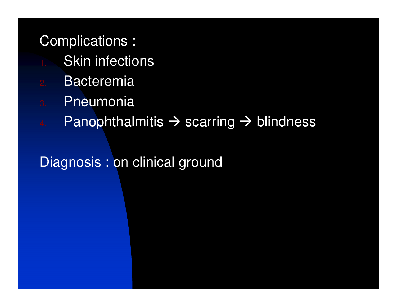Complications :

- Skin infections
- **Bacteremia**
- Pneumonia
- Panophthalmitis  $\rightarrow$  scarring  $\rightarrow$  blindness

## Diagnosis : on clinical ground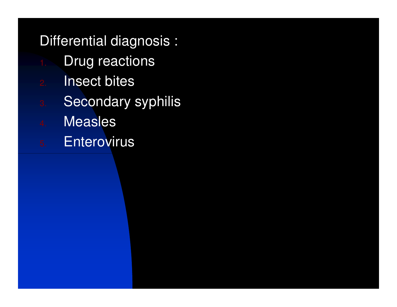Differential diagnosis :

- Drug reactions
- Insect bites
- Secondary syphilis
- Measles
- **Enterovirus**